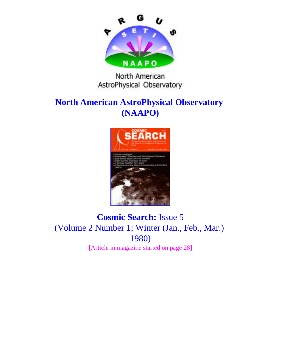

#### North American AstroPhysical Observatory

# **North American AstroPhysical Observatory (NAAPO)**



### **Cosmic Search:** Issue 5 (Volume 2 Number 1; Winter (Jan., Feb., Mar.) 1980) [Article in magazine started on page 28]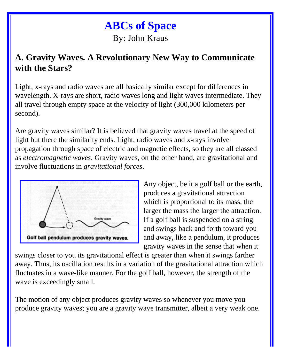# **ABCs of Space** By: John Kraus

### **A. Gravity Waves. A Revolutionary New Way to Communicate with the Stars?**

Light, x-rays and radio waves are all basically similar except for differences in wavelength. X-rays are short, radio waves long and light waves intermediate. They all travel through empty space at the velocity of light (300,000 kilometers per second).

Are gravity waves similar? It is believed that gravity waves travel at the speed of light but there the similarity ends. Light, radio waves and x-rays involve propagation through space of electric and magnetic effects, so they are all classed as *electromagnetic waves*. Gravity waves, on the other hand, are gravitational and involve fluctuations in *gravitational forces*.



Any object, be it a golf ball or the earth, produces a gravitational attraction which is proportional to its mass, the larger the mass the larger the attraction. If a golf ball is suspended on a string and swings back and forth toward you and away, like a pendulum, it produces gravity waves in the sense that when it

swings closer to you its gravitational effect is greater than when it swings farther away. Thus, its oscillation results in a variation of the gravitational attraction which fluctuates in a wave-like manner. For the golf ball, however, the strength of the wave is exceedingly small.

The motion of any object produces gravity waves so whenever you move you produce gravity waves; you are a gravity wave transmitter, albeit a very weak one.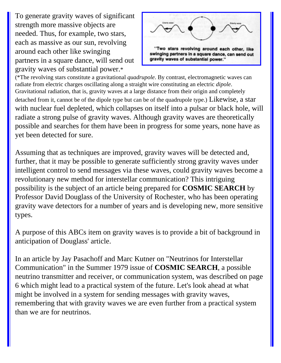To generate gravity waves of significant strength more massive objects are needed. Thus, for example, two stars, each as massive as our sun, revolving around each other like swinging partners in a square dance, will send out gravity waves of substantial power.\*



(\*The revolving stars constitute a gravitational *quadrupole*. By contrast, electromagnetic waves can radiate from electric charges oscillating along a straight wire constituting an electric *dipole*. Gravitational radiation, that is, gravity waves at a large distance from their origin and completely detached from it, cannot be of the dipole type but can be of the quadrupole type.) Likewise, a star with nuclear fuel depleted, which collapses on itself into a pulsar or black hole, will radiate a strong pulse of gravity waves. Although gravity waves are theoretically possible and searches for them have been in progress for some years, none have as yet been detected for sure.

Assuming that as techniques are improved, gravity waves will be detected and, further, that it may be possible to generate sufficiently strong gravity waves under intelligent control to send messages via these waves, could gravity waves become a revolutionary new method for interstellar communication? This intriguing possibility is the subject of an article being prepared for **COSMIC SEARCH** by Professor David Douglass of the University of Rochester, who has been operating gravity wave detectors for a number of years and is developing new, more sensitive types.

A purpose of this ABCs item on gravity waves is to provide a bit of background in anticipation of Douglass' article.

In an article by Jay Pasachoff and Marc Kutner on "Neutrinos for Interstellar Communication" in the Summer 1979 issue of **COSMIC SEARCH**, a possible neutrino transmitter and receiver, or communication system, was described on page 6 which might lead to a practical system of the future. Let's look ahead at what might be involved in a system for sending messages with gravity waves, remembering that with gravity waves we are even further from a practical system than we are for neutrinos.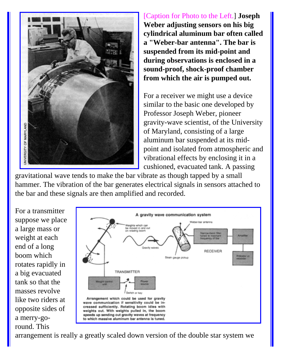

[Caption for Photo to the Left.] **Joseph Weber adjusting sensors on his big cylindrical aluminum bar often called a "Weber-bar antenna". The bar is suspended from its mid-point and during observations is enclosed in a sound-proof, shock-proof chamber from which the air is pumped out.**

For a receiver we might use a device similar to the basic one developed by Professor Joseph Weber, pioneer gravity-wave scientist, of the University of Maryland, consisting of a large aluminum bar suspended at its midpoint and isolated from atmospheric and vibrational effects by enclosing it in a cushioned, evacuated tank. A passing

gravitational wave tends to make the bar vibrate as though tapped by a small hammer. The vibration of the bar generates electrical signals in sensors attached to the bar and these signals are then amplified and recorded.

For a transmitter suppose we place a large mass or weight at each end of a long boom which rotates rapidly in a big evacuated tank so that the masses revolve like two riders at opposite sides of a merry-goround. This



arrangement is really a greatly scaled down version of the double star system we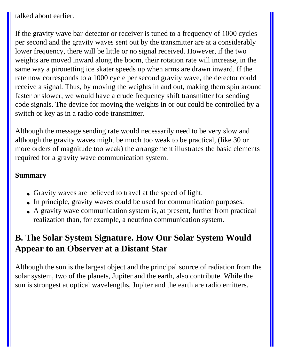talked about earlier.

If the gravity wave bar-detector or receiver is tuned to a frequency of 1000 cycles per second and the gravity waves sent out by the transmitter are at a considerably lower frequency, there will be little or no signal received. However, if the two weights are moved inward along the boom, their rotation rate will increase, in the same way a pirouetting ice skater speeds up when arms are drawn inward. If the rate now corresponds to a 1000 cycle per second gravity wave, the detector could receive a signal. Thus, by moving the weights in and out, making them spin around faster or slower, we would have a crude frequency shift transmitter for sending code signals. The device for moving the weights in or out could be controlled by a switch or key as in a radio code transmitter.

Although the message sending rate would necessarily need to be very slow and although the gravity waves might be much too weak to be practical, (like 30 or more orders of magnitude too weak) the arrangement illustrates the basic elements required for a gravity wave communication system.

#### **Summary**

- Gravity waves are believed to travel at the speed of light.
- In principle, gravity waves could be used for communication purposes.
- A gravity wave communication system is, at present, further from practical realization than, for example, a neutrino communication system.

# **B. The Solar System Signature. How Our Solar System Would Appear to an Observer at a Distant Star**

Although the sun is the largest object and the principal source of radiation from the solar system, two of the planets, Jupiter and the earth, also contribute. While the sun is strongest at optical wavelengths, Jupiter and the earth are radio emitters.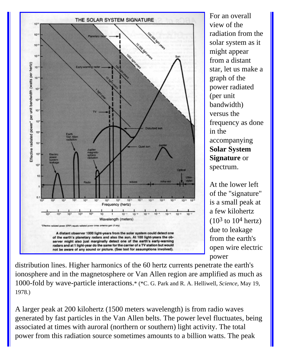

For an overall view of the radiation from the solar system as it might appear from a distant star, let us make a graph of the power radiated (per unit bandwidth) versus the frequency as done in the accompanying **Solar System Signature** or spectrum.

At the lower left of the "signature" is a small peak at a few kilohertz  $(10^3 \text{ to } 10^4 \text{ hertz})$ due to leakage from the earth's open wire electric power

distribution lines. Higher harmonics of the 60 hertz currents penetrate the earth's ionosphere and in the magnetosphere or Van Allen region are amplified as much as 1000-fold by wave-particle interactions.\* (\*C. G. Park and R. A. Helliwell, *Science*, May 19, 1978.)

A larger peak at 200 kilohertz (1500 meters wavelength) is from radio waves generated by fast particles in the Van Allen belts. The power level fluctuates, being associated at times with auroral (northern or southern) light activity. The total power from this radiation source sometimes amounts to a billion watts. The peak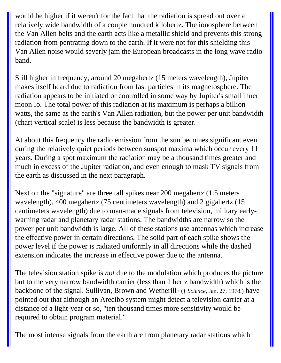would be higher if it weren't for the fact that the radiation is spread out over a relatively wide bandwidth of a couple hundred kilohertz. The ionosphere between the Van Allen belts and the earth acts like a metallic shield and prevents this strong radiation from pentrating down to the earth. If it were not for this shielding this Van Allen noise would severly jam the European broadcasts in the long wave radio band.

Still higher in frequency, around 20 megahertz (15 meters wavelength), Jupiter makes itself heard due to radiation from fast particles in its magnetosphere. The radiation appears to be initiated or controlled in some way by Jupiter's small inner moon Io. The total power of this radiation at its maximum is perhaps a billion watts, the same as the earth's Van Allen radiation, but the power per unit bandwidth (chart vertical scale) is less because the bandwidth is greater.

At about this frequency the radio emission from the sun becomes significant even during the relatively quiet periods between sunspot maxima which occur every 11 years. During a spot maximum the radiation may be a thousand times greater and much in excess of the Jupiter radiation, and even enough to mask TV signals from the earth as discussed in the next paragraph.

Next on the "signature" are three tall spikes near 200 megahertz (1.5 meters wavelength), 400 megahertz (75 centimeters wavelength) and 2 gigahertz (15 centimeters wavelength) due to man-made signals from television, military earlywarning radar and planetary radar stations. The bandwidths are narrow so the power per unit bandwidth is large. All of these stations use antennas which increase the effective power in certain directions. The solid part of each spike shows the power level if the power is radiated uniformly in all directions while the dashed extension indicates the increase in effective power due to the antenna.

The television station spike is *not* due to the modulation which produces the picture but to the very narrow bandwidth carrier (less than 1 hertz bandwidth) which is the backbone of the signal. Sullivan, Brown and Wetherill† († *Science*, Jan. 27, 1978.) have pointed out that although an Arecibo system might detect a television carrier at a distance of a light-year or so, "ten thousand times more sensitivity would be required to obtain program material."

The most intense signals from the earth are from planetary radar stations which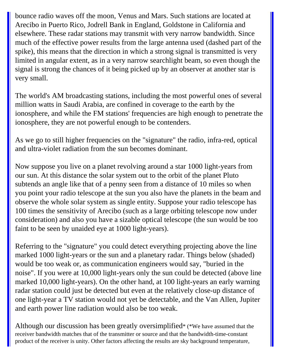bounce radio waves off the moon, Venus and Mars. Such stations are located at Arecibo in Puerto Rico, Jodrell Bank in England, Goldstone in California and elsewhere. These radar stations may transmit with very narrow bandwidth. Since much of the effective power results from the large antenna used (dashed part of the spike), this means that the direction in which a strong signal is transmitted is very limited in angular extent, as in a very narrow searchlight beam, so even though the signal is strong the chances of it being picked up by an observer at another star is very small.

The world's AM broadcasting stations, including the most powerful ones of several million watts in Saudi Arabia, are confined in coverage to the earth by the ionosphere, and while the FM stations' frequencies are high enough to penetrate the ionosphere, they are not powerful enough to be contenders.

As we go to still higher frequencies on the "signature" the radio, infra-red, optical and ultra-violet radiation from the sun becomes dominant.

Now suppose you live on a planet revolving around a star 1000 light-years from our sun. At this distance the solar system out to the orbit of the planet Pluto subtends an angle like that of a penny seen from a distance of 10 miles so when you point your radio telescope at the sun you also have the planets in the beam and observe the whole solar system as single entity. Suppose your radio telescope has 100 times the sensitivity of Arecibo (such as a large orbiting telescope now under consideration) and also you have a sizable optical telescope (the sun would be too faint to be seen by unaided eye at 1000 light-years).

Referring to the "signature" you could detect everything projecting above the line marked 1000 light-years or the sun and a planetary radar. Things below (shaded) would be too weak or, as communication engineers would say, "buried in the noise". If you were at 10,000 light-years only the sun could be detected (above line marked 10,000 light-years). On the other hand, at 100 light-years an early warning radar station could just be detected but even at the relatively close-up distance of one light-year a TV station would not yet be detectable, and the Van Allen, Jupiter and earth power line radiation would also be too weak.

Although our discussion has been greatly oversimplified\* (\*We have assumed that the receiver bandwidth matches that of the transmitter or source and that the bandwidth-time-constant product of the receiver is unity. Other factors affecting the results are sky background temperature,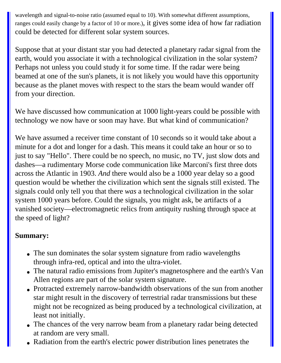wavelength and signal-to-noise ratio (assumed equal to 10). With somewhat different assumptions, ranges could easily change by a factor of 10 or more.), it gives some idea of how far radiation could be detected for different solar system sources.

Suppose that at your distant star you had detected a planetary radar signal from the earth, would you associate it with a technological civilization in the solar system? Perhaps not unless you could study it for some time. If the radar were being beamed at one of the sun's planets, it is not likely you would have this opportunity because as the planet moves with respect to the stars the beam would wander off from your direction.

We have discussed how communication at 1000 light-years could be possible with technology we now have or soon may have. But what kind of communication?

We have assumed a receiver time constant of 10 seconds so it would take about a minute for a dot and longer for a dash. This means it could take an hour or so to just to say "Hello". There could be no speech, no music, no TV, just slow dots and dashes—a rudimentary Morse code communication like Marconi's first three dots across the Atlantic in 1903. *And* there would also be a 1000 year delay so a good question would be whether the civilization which sent the signals still existed. The signals could only tell you that there *was* a technological civilization in the solar system 1000 years before. Could the signals, you might ask, be artifacts of a vanished society—electromagnetic relics from antiquity rushing through space at the speed of light?

#### **Summary:**

- The sun dominates the solar system signature from radio wavelengths through infra-red, optical and into the ultra-violet.
- The natural radio emissions from Jupiter's magnetosphere and the earth's Van Allen regions are part of the solar system signature.
- Protracted extremely narrow-bandwidth observations of the sun from another star might result in the discovery of terrestrial radar transmissions but these might not be recognized as being produced by a technological civilization, at least not initially.
- The chances of the very narrow beam from a planetary radar being detected at random are very small.
- Radiation from the earth's electric power distribution lines penetrates the